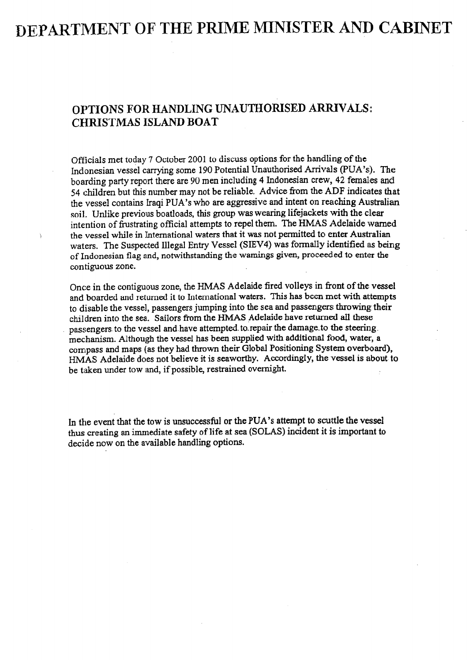# DEPARTMENT OF THE PRIME MINISTER AND CABINET

## OPTIONS FOR HANDLING UNAUTHORISED ARRIVALS: CHRISTMAS ISLAND BOAT

Officials met today 7 October 2001 to discuss options for the handling of the Indonesian vessel carrying some 190 Potential Unauthorised Arrivals (PUA's). The boarding party report there are 90 men including 4 Indonesian crew, 42 females and 54 children but this number may not be reliable. Advice from the ADF indicates that the vessel contains Iraqi PUA's who! are aggressive and intent on reaching Australian soil. Unlike previous boatloads, this group was wearing lifejackets with the clear intention of frustrating official attempts to repel them. The HMAS Adelaide warned the vessel while in International waters that it was not permitted to enter Australian waters. The Suspected Illegal Entry Vessel (SIEV4) was formally identified as being of Indonesian flag and, notwithstanding the warnings given, proceeded to enter the contiguous zone.

'I

Once in the contiguous zone, the HMAS Adelaide fired volleys in front of the vessel and boarded and returned it to International waters. This has been met with attempts to disable the vessel, passengers jumping into tbe sea and passengers throwing their children into the sea.. Sailors from the HMAS Adelaide have returned alI these passengers. to the vessel and-have attempted. to-repair the damage-to the steering. mechanism. Although the vessel has been supplied with additional food, water, a compass and maps (as they had thrown their Global Positioning System overboard), HMAS Adelaide does not believe it is seaworthy. Accordingly, the vessel is about to be taken under tow and, if possible, restrained ovemigbt.

In the event that the tow is unsuccessful or the PUA's attempt to scuttle the vessel thus creating an immediate safety of life at sea (SOLAS) incident it is important to decide now on the available handling options.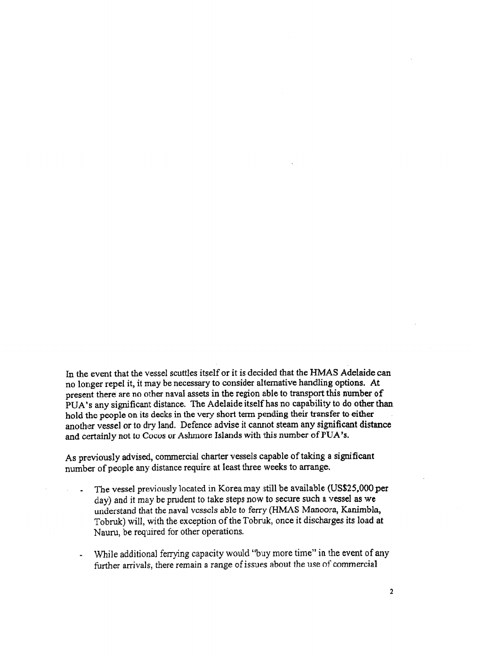In the event that the vessel scuttles itself or it is decided that the HMAS Adelaide can no longer repel it, it may be necessary to consider alternative handling options. At present there are no other naval assets in the region able to transport this number of PUA's any significant distance. The Adelaide itself has no capability to do other than. hold the people on its decks in the very short term pending their transfer to either another vessel or to dry land. Defence advise it cannot steam any significant distance and certainly not to Cocos or Ashmore Islands with this number of YUA's.

As previously advised, commercial charter vessels capable of taking a significant number of people any distance require at least three weeks to arrange,

- The vessel previously located in Korea may still be available (US\$25,000 per  $day)$  and it may be prudent to take steps now to secure such a vessel as we understand that the naval vessels able to ferry (HMAS Manoora, Kanimbla, Tobruk) will, with the exception of the Tobruk, once it discharges its load at Nauru, be required for other operations.
- While additional ferrying capacity would "buy more time" in the event of any further arrivals, there remain a range of issues about the use of commercial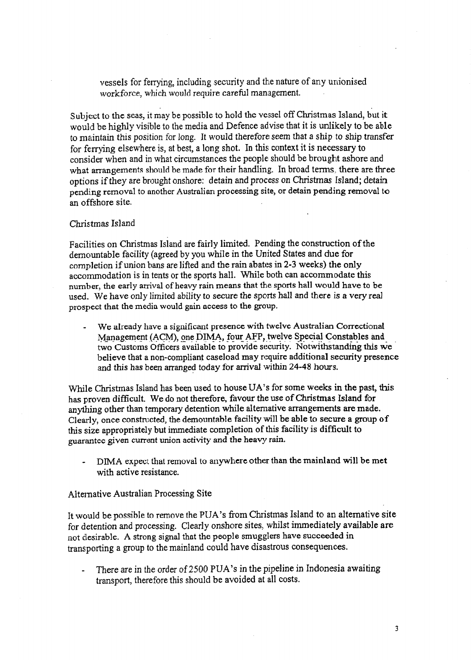vessels for ferrying, including security and the nature of any unionised workforce, which would require careful management.

Subject to the seas, it may be possible to hold the vessel off Christmas Island, but it would be highly visible to the media and Defence advise that it is unlikely to be able to maintain this position for long. It would therefore seem that a ship to ship transfer for ferrying elsewhere is, at best, a long shot. In this context it is necessary to consider when and in what circumstances the people: should be brought ashore and what arrangements should be made for their handling. In broad terms, there are three options if they are brought onshore: detain and process on Christmas Island; detain pending removal to another Australian processing site, or detain pending removal to an offshore site.

### Christmas Island

Facilities on Christmas Island are fairly limited. Pending the construction of the demountable facility (agreed by you while in the United States and due for completion if union bans are lifted and the rain abates in 2-3 weeks) the only accommodation is in tents or the sports hall. While both can accommodate this number, the early arrival of heavy rain means that the sports hall would have to be used. We have only limited ability to secure the sports hall and there is a very real prospect that the media would gain access to the group.

We already have a significant presence with twelve Australian Correctional Management (ACM), one DIMA, four AFP, twelve Special Constables and two Customs Officers available to provide security. Notwithstanding this we believe that a non-compliant caseload may require additional security presence and this has been arranged today for arrival within 24-48 hours.

While Christmas Island has been used to house UA's for some weeks in the past, this has proven difficult. We do not therefore, favour the use of Christmas Island for anything other than temporary detention while alternative arrangements are made. Clearly, once constructed, the demountable facility will be able to secure a group of this size appropriately but immediate completion of this facility is difficult to guarantee given current union activity and the heavy rain.

DIMA expect that removal to anywhere other than the mainland will be met with active resistance.

#### Altanative Australian Processing Site

It would be possible to remove the PUA's from Christmas Island to an alternative site for detention and processing. Clearly onshore sites, whilst immediately available are not desirable. A strong signal that the people smugglers have succeeded in transporting a group to the mainland could have disastrous consequences.

There are in the order of 2500 PUA's in the pipeline in Indonesia awaiting transport, therefore this should be avoided at all costs.

 $\overline{3}$